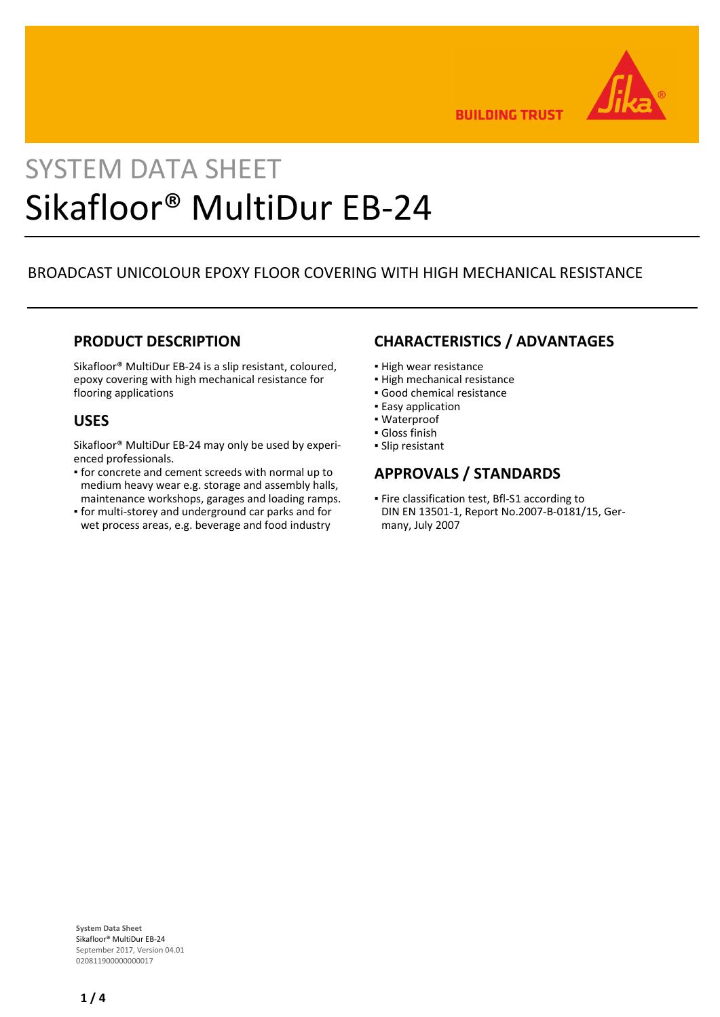

**BUILDING TRUST** 

# SYSTEM DATA SHEET Sikafloor® MultiDur EB-24

# BROADCAST UNICOLOUR EPOXY FLOOR COVERING WITH HIGH MECHANICAL RESISTANCE

## **PRODUCT DESCRIPTION**

Sikafloor® MultiDur EB-24 is a slip resistant, coloured, epoxy covering with high mechanical resistance for flooring applications

### **USES**

Sikafloor® MultiDur EB-24 may only be used by experienced professionals.

- **•** for concrete and cement screeds with normal up to medium heavy wear e.g. storage and assembly halls, maintenance workshops, garages and loading ramps.
- for multi-storey and underground car parks and for wet process areas, e.g. beverage and food industry

# **CHARACTERISTICS / ADVANTAGES**

- **.** High wear resistance
- High mechanical resistance
- Good chemical resistance
- **Easy application**
- Waterproof
- Gloss finish
- Slip resistant

# **APPROVALS / STANDARDS**

**Fire classification test, Bfl-S1 according to** DIN EN 13501-1, Report No.2007-B-0181/15, Germany, July 2007

**System Data Sheet** Sikafloor® MultiDur EB-24 September 2017, Version 04.01 020811900000000017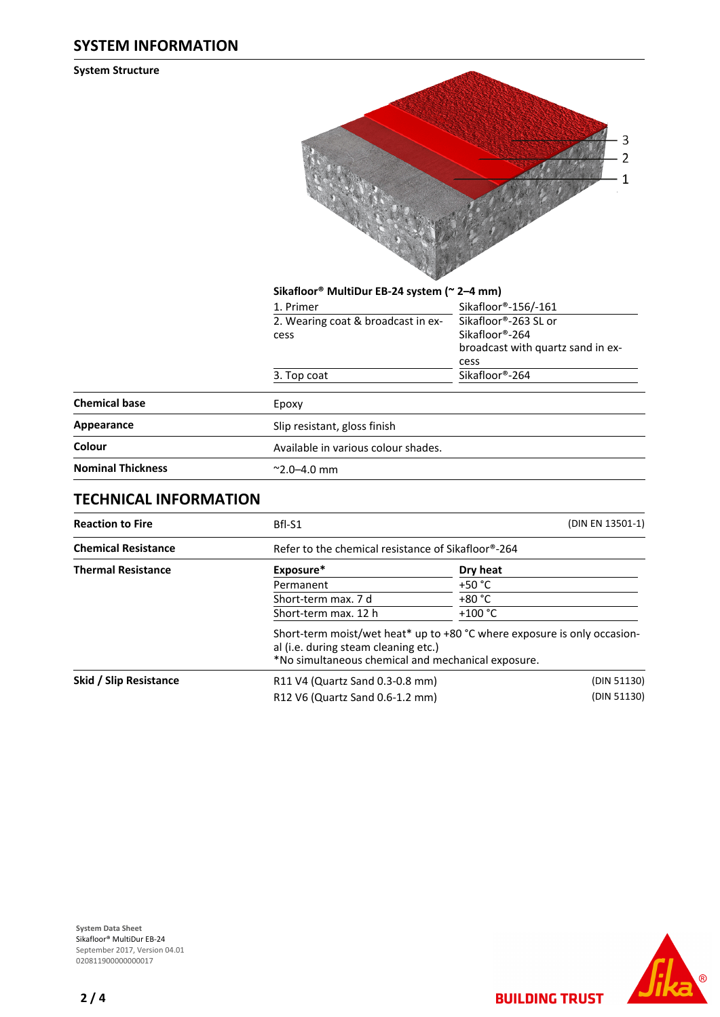#### **SYSTEM INFORMATION**

**System Structure**



|                          | Sikafloor® MultiDur EB-24 system (~ 2-4 mm) |                                                                                     |  |
|--------------------------|---------------------------------------------|-------------------------------------------------------------------------------------|--|
|                          | 1. Primer                                   | Sikafloor®-156/-161                                                                 |  |
|                          | 2. Wearing coat & broadcast in ex-<br>cess  | Sikafloor®-263 SL or<br>Sikafloor®-264<br>broadcast with quartz sand in ex-<br>cess |  |
|                          | 3. Top coat                                 | Sikafloor®-264                                                                      |  |
| <b>Chemical base</b>     | Epoxy                                       |                                                                                     |  |
| Appearance               | Slip resistant, gloss finish                |                                                                                     |  |
| Colour                   | Available in various colour shades.         |                                                                                     |  |
| <b>Nominal Thickness</b> | $^{\sim}$ 2.0–4.0 mm                        |                                                                                     |  |
|                          |                                             |                                                                                     |  |

# **TECHNICAL INFORMATION**

| <b>Reaction to Fire</b>    | Bfl-S1                                                                                                                                                                 | (DIN EN 13501-1) |  |
|----------------------------|------------------------------------------------------------------------------------------------------------------------------------------------------------------------|------------------|--|
| <b>Chemical Resistance</b> | Refer to the chemical resistance of Sikafloor®-264                                                                                                                     |                  |  |
| <b>Thermal Resistance</b>  | Exposure*                                                                                                                                                              | Dry heat         |  |
|                            | Permanent                                                                                                                                                              | $+50 °C$         |  |
|                            | Short-term max. 7 d                                                                                                                                                    | $+80 °C$         |  |
|                            | Short-term max. 12 h                                                                                                                                                   | $+100 °C$        |  |
|                            | Short-term moist/wet heat* up to +80 °C where exposure is only occasion-<br>al (i.e. during steam cleaning etc.)<br>*No simultaneous chemical and mechanical exposure. |                  |  |
| Skid / Slip Resistance     | R11 V4 (Quartz Sand 0.3-0.8 mm)                                                                                                                                        | (DIN 51130)      |  |
|                            | R12 V6 (Quartz Sand 0.6-1.2 mm)                                                                                                                                        | (DIN 51130)      |  |





**BUILDING TRUST**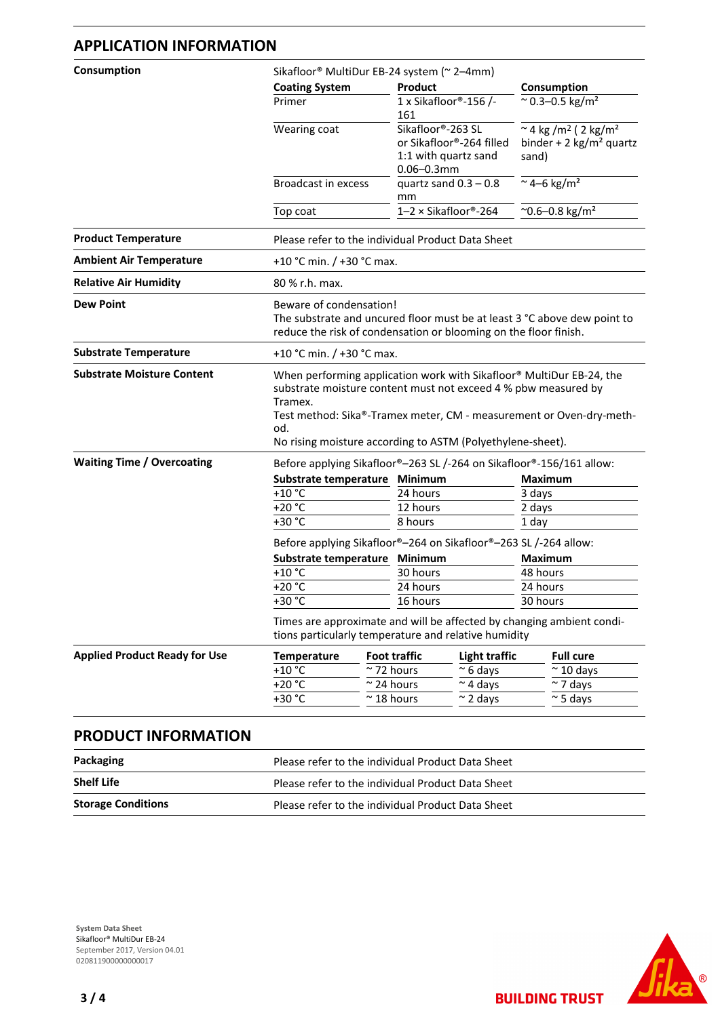#### **APPLICATION INFORMATION**

| Consumption                                                       | Sikafloor® MultiDur EB-24 system (~ 2-4mm) |                                                                                                                                                                                                     |                                                                                              |  |  |  |
|-------------------------------------------------------------------|--------------------------------------------|-----------------------------------------------------------------------------------------------------------------------------------------------------------------------------------------------------|----------------------------------------------------------------------------------------------|--|--|--|
|                                                                   | <b>Coating System</b>                      | <b>Product</b>                                                                                                                                                                                      | Consumption                                                                                  |  |  |  |
|                                                                   | Primer                                     | 1 x Sikafloor®-156 /-<br>161                                                                                                                                                                        | $\approx$ 0.3-0.5 kg/m <sup>2</sup>                                                          |  |  |  |
|                                                                   | Wearing coat                               | Sikafloor®-263 SL<br>or Sikafloor®-264 filled<br>1:1 with quartz sand<br>$0.06 - 0.3$ mm                                                                                                            | ~ 4 kg /m <sup>2</sup> ( 2 kg/m <sup>2</sup><br>binder + 2 kg/m <sup>2</sup> quartz<br>sand) |  |  |  |
|                                                                   | <b>Broadcast in excess</b>                 | quartz sand $0.3 - 0.8$<br>mm                                                                                                                                                                       | $~\sim$ 4–6 kg/m <sup>2</sup>                                                                |  |  |  |
|                                                                   | Top coat                                   | $1-2 \times$ Sikafloor®-264                                                                                                                                                                         | ~0.6-0.8 kg/m <sup>2</sup>                                                                   |  |  |  |
| <b>Product Temperature</b>                                        |                                            | Please refer to the individual Product Data Sheet                                                                                                                                                   |                                                                                              |  |  |  |
| <b>Ambient Air Temperature</b>                                    |                                            | +10 °C min. / +30 °C max.                                                                                                                                                                           |                                                                                              |  |  |  |
| <b>Relative Air Humidity</b>                                      | 80 % r.h. max.                             |                                                                                                                                                                                                     |                                                                                              |  |  |  |
| <b>Dew Point</b>                                                  |                                            | Beware of condensation!<br>The substrate and uncured floor must be at least 3 °C above dew point to<br>reduce the risk of condensation or blooming on the floor finish.                             |                                                                                              |  |  |  |
|                                                                   |                                            | +10 °C min. / +30 °C max.                                                                                                                                                                           |                                                                                              |  |  |  |
| <b>Substrate Temperature</b><br><b>Substrate Moisture Content</b> |                                            | When performing application work with Sikafloor® MultiDur EB-24, the                                                                                                                                |                                                                                              |  |  |  |
|                                                                   | Tramex.<br>od.                             | substrate moisture content must not exceed 4 % pbw measured by<br>Test method: Sika®-Tramex meter, CM - measurement or Oven-dry-meth-<br>No rising moisture according to ASTM (Polyethylene-sheet). |                                                                                              |  |  |  |
| <b>Waiting Time / Overcoating</b>                                 |                                            |                                                                                                                                                                                                     |                                                                                              |  |  |  |
|                                                                   |                                            | Before applying Sikafloor®-263 SL /-264 on Sikafloor®-156/161 allow:                                                                                                                                |                                                                                              |  |  |  |
|                                                                   | Substrate temperature<br>$+10 °C$          | Minimum<br>24 hours                                                                                                                                                                                 | <b>Maximum</b>                                                                               |  |  |  |
|                                                                   | $+20 °C$                                   | 12 hours                                                                                                                                                                                            | 3 days<br>2 days                                                                             |  |  |  |
|                                                                   | $+30 °C$                                   | 8 hours                                                                                                                                                                                             | 1 day                                                                                        |  |  |  |
|                                                                   |                                            | Before applying Sikafloor®-264 on Sikafloor®-263 SL /-264 allow:                                                                                                                                    |                                                                                              |  |  |  |
|                                                                   | Substrate temperature                      | Minimum                                                                                                                                                                                             | <b>Maximum</b>                                                                               |  |  |  |
|                                                                   | $+10 °C$                                   | 30 hours                                                                                                                                                                                            | 48 hours                                                                                     |  |  |  |
|                                                                   | $+20 °C$                                   | 24 hours                                                                                                                                                                                            | 24 hours                                                                                     |  |  |  |
|                                                                   | +30 °C                                     | 16 hours                                                                                                                                                                                            | 30 hours                                                                                     |  |  |  |
|                                                                   |                                            | Times are approximate and will be affected by changing ambient condi-<br>tions particularly temperature and relative humidity                                                                       |                                                                                              |  |  |  |
| <b>Applied Product Ready for Use</b>                              | <b>Temperature</b>                         | <b>Foot traffic</b><br><b>Light traffic</b>                                                                                                                                                         | <b>Full cure</b>                                                                             |  |  |  |
|                                                                   | $+10 °C$                                   | $\approx$ 72 hours<br>$~\sim$ 6 days                                                                                                                                                                | $\approx$ 10 days                                                                            |  |  |  |
|                                                                   | $-20$ °C<br>+30 °C                         | $\sim$ 4 days<br>$\approx$ 24 hours<br>$~^{\sim}$ 18 hours<br>$\sim$ 2 days                                                                                                                         | $\sim$ 7 days<br>$\approx$ 5 days                                                            |  |  |  |

# **PRODUCT INFORMATION**

| Packaging                 | Please refer to the individual Product Data Sheet |
|---------------------------|---------------------------------------------------|
| <b>Shelf Life</b>         | Please refer to the individual Product Data Sheet |
| <b>Storage Conditions</b> | Please refer to the individual Product Data Sheet |

**System Data Sheet** Sikafloor® MultiDur EB-24 September 2017, Version 04.01 0208119000000000017



**BUILDING TRUST**